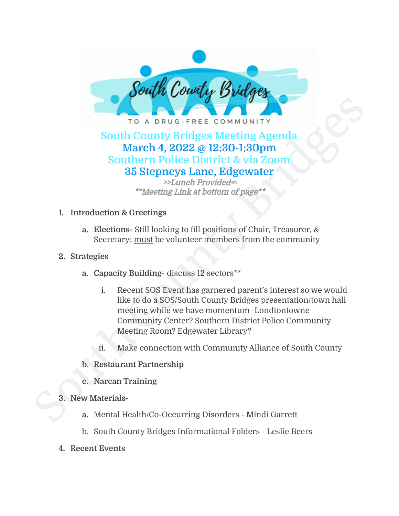

### **South County Bridges Meeting Agenda March 4, 2022 @ 12:30-1:30pm Southern Police District & via Zoom 35 Stepneys Lane, Edgewater**

>>Lunch Provided<**<** \*\*Meeting Link at bottom of page\*\*

- **1. Introduction & Greetings**
	- **a. Elections-** Still looking to fill positions of Chair, Treasurer, & Secretary; must be volunteer members from the community
- **2. Strategies**
	- **a. Capacity Building-** discuss 12 sectors\*\*
- South County Bridges Meeting Agenda<br>
South County Bridges Meeting Agenda<br>
March 4, 2022 @ 12:30-1:30pm<br>
Southern Police District & via Zoom<br>
35 Stepneys Lane, Edgewater<br>
\*\*Meeting Link at bottom of page\*\*<br>
1. Introduction i. Recent SOS Event has garnered parent's interest so we would like to do a SOS/South County Bridges presentation/town hall meeting while we have momentum–Londtontowne Community Center? Southern District Police Community Meeting Room? Edgewater Library?
	- ii. Make connection with Community Alliance of South County
	- **b. Restaurant Partnership**
	- **c. Narcan Training**
	- **3. New Materials**
		- **a.** Mental Health/Co-Occurring Disorders Mindi Garrett
		- b. South County Bridges Informational Folders Leslie Beers
	- **4. Recent Events**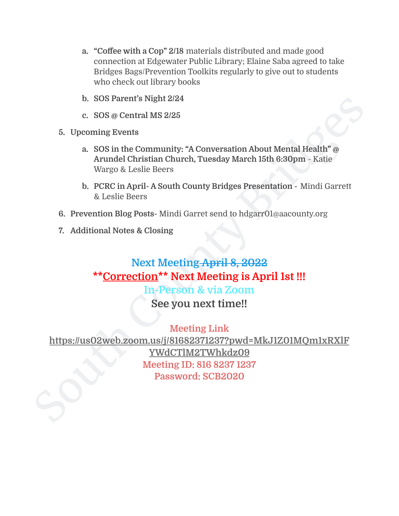- **a. "Coffee with a Cop" 2/18** materials distributed and made good connection at Edgewater Public Library; Elaine Saba agreed to take Bridges Bags/Prevention Toolkits regularly to give out to students who check out library books
- **b. SOS Parent's Night 2/24**
- **c. SOS @ Central MS 2/25**
- **5. Upcoming Events**
	- **a. SOS in the Community: "A Conversation About Mental Health" @ Arundel Christian Church, Tuesday March 15th 6:30pm** - Katie Wargo & Leslie Beers
	- **b. PCRC in April- A South County Bridges Presentation -** Mindi Garrett & Leslie Beers
- **6. Prevention Blog Posts-** Mindi Garret send to hdgarr01@aacounty.org
- **7. Additional Notes & Closing**

## **Next Meeting April 8, 2022 \*\*Correction\*\* Next Meeting is April 1st !!! In-Person & via Zoom**

**See you next time!!**

b. SOS Parent's Night 2/24<br>
c. SOS @ Central MS 2/25<br>
3. Upcoming Events<br>
a. SOS in the Community: "A Conversation About Mental Health" @<br>
Arundel Christian Church, Tuesday March 15th 6:30pm - Katie<br>
b. PCRC in April - A S **Meeting Link [https://us02web.zoom.us/j/81682371237?pwd=MkJ1Z01MQm1xRXlF](https://us02web.zoom.us/j/81682371237?pwd=MkJ1Z01MQm1xRXlFYWdCTlM2TWhkdz09) [YWdCTlM2TWhkdz09](https://us02web.zoom.us/j/81682371237?pwd=MkJ1Z01MQm1xRXlFYWdCTlM2TWhkdz09) Meeting ID: 816 8237 1237 Password: SCB2020**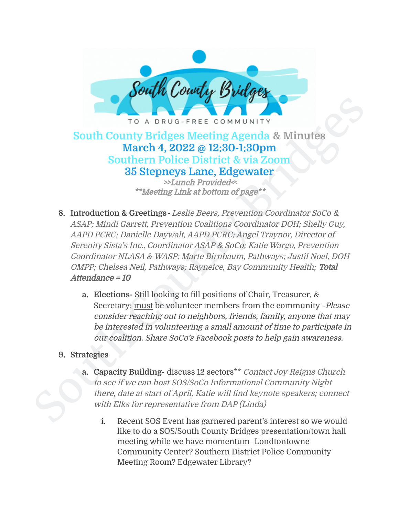

## **South County Bridges Meeting Agenda & Minutes March 4, 2022 @ 12:30-1:30pm Southern Police District & via Zoom 35 Stepneys Lane, Edgewater**

>>Lunch Provided<**<** \*\*Meeting Link at bottom of page\*\*

- South County Bridges Meeting Agenda & Minutes March 4, 2022 @ 12:30-1:30pm<br>
South County Bridges Meeting Agenda & Minutes March 4, 2022 @ 12:30-1:30pm<br>
Southern Police District & via Zoom<br>
35 Stepneys Lane, Edgewater<br>
\*\*M **8. Introduction & Greetings**- Leslie Beers, Prevention Coordinator SoCo & ASAP; Mindi Garrett, Prevention Coalitions Coordinator DOH; Shelly Guy, AAPD PCRC; Danielle Daywalt, AAPD PCRC; Angel Traynor, Director of Serenity Sista's Inc., Coordinator ASAP & SoCo; Katie Wargo, Prevention Coordinator NLASA & WASP; Marte Birnbaum, Pathways; Justil Noel, DOH OMPP; Chelsea Neil, Pathways; Rayneice, Bay Community Health; Total Attendance <sup>=</sup> 10
	- **a. Elections-** Still looking to fill positions of Chair, Treasurer, & Secretary; must be volunteer members from the community -Please consider reaching out to neighbors, friends, family, anyone that may be interested in volunteering <sup>a</sup> small amount of time to participate in our coalition. Share SoCo's Facebook posts to help gain awareness.

#### **9. Strategies**

- **a. Capacity Building-** discuss 12 sectors\*\* Contact Joy Reigns Church to see if we can host SOS/SoCo Informational Community Night there, date at start of April, Katie will find keynote speakers; connect with Elks for representative from DAP (Linda)
	- i. Recent SOS Event has garnered parent's interest so we would like to do a SOS/South County Bridges presentation/town hall meeting while we have momentum–Londtontowne Community Center? Southern District Police Community Meeting Room? Edgewater Library?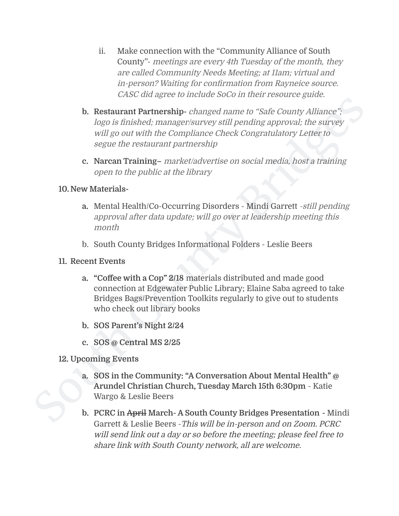- ii. Make connection with the "Community Alliance of South County"- meetings are every 4th Tuesday of the month, they are called Community Needs Meeting; at 11am; virtual and in-person? Waiting for confirmation from Rayneice source. CASC did agree to include SoCo in their resource guide.
- **b.** Restaurant Partnership-changed name to "Safe County Alliance,"<br>
Lege is finished: manager/survey still pending approval: the survey<br>
will go out with the Compliance Check Congratulatory Letter to<br>
segare the restaura **b. Restaurant Partnership-** changed name to "Safe County Alliance"; logo is finished; manager/survey still pending approval; the survey will go out with the Compliance Check Congratulatory Letter to segue the restaurant partnership
	- **c. Narcan Training–** market/advertise on social media, host <sup>a</sup> training open to the public at the library

#### **10. New Materials-**

- **a.** Mental Health/Co-Occurring Disorders Mindi Garrett -still pending approval after data update; will go over at leadership meeting this month
- b. South County Bridges Informational Folders Leslie Beers

#### **11. Recent Events**

- **a. "Coffee with a Cop" 2/18** materials distributed and made good connection at Edgewater Public Library; Elaine Saba agreed to take Bridges Bags/Prevention Toolkits regularly to give out to students who check out library books
- **b. SOS Parent's Night 2/24**
- **c. SOS @ Central MS 2/25**

#### **12. Upcoming Events**

- **a. SOS in the Community: "A Conversation About Mental Health" @ Arundel Christian Church, Tuesday March 15th 6:30pm** - Katie Wargo & Leslie Beers
- **b. PCRC in April March- A South County Bridges Presentation -** Mindi Garrett & Leslie Beers -This will be in-person and on Zoom. PCRC will send link out <sup>a</sup> day or so before the meeting; please feel free to share link with South County network, all are welcome.